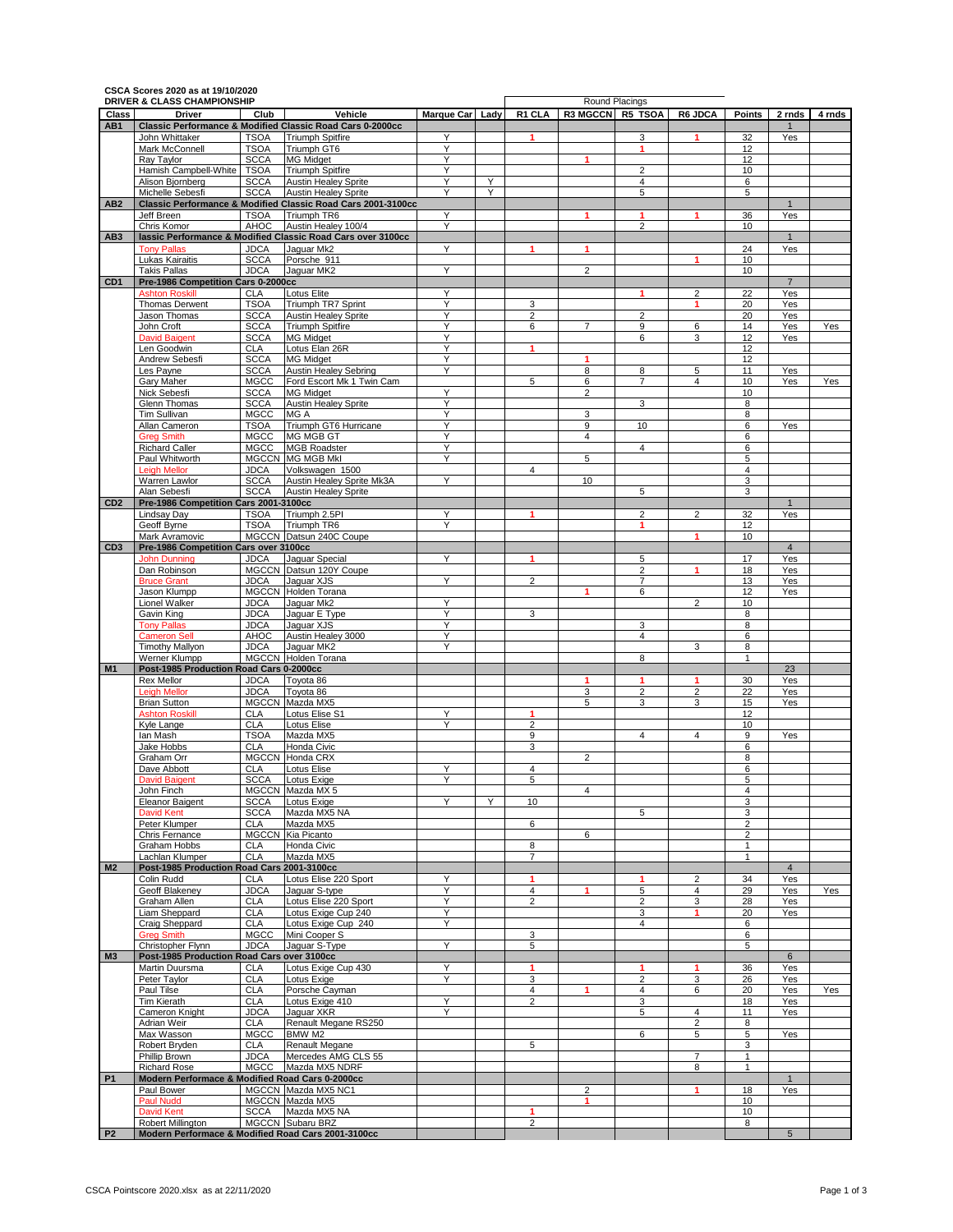|                 | CSCA Scores 2020 as at 19/10/2020<br>DRIVER & CLASS CHAMPIONSHIP       |                            |                                                                                             |                 |   |                     |                     | Round Placings      |                |                |                    |                          |
|-----------------|------------------------------------------------------------------------|----------------------------|---------------------------------------------------------------------------------------------|-----------------|---|---------------------|---------------------|---------------------|----------------|----------------|--------------------|--------------------------|
| Class           | <b>Driver</b>                                                          | Club                       | Vehicle                                                                                     | Marque Car Lady |   | R1 CLA              | R3 MGCCN R5 TSOA    |                     | R6 JDCA        | <b>Points</b>  | 2 rnds             | 4 rnds                   |
| AB1             |                                                                        |                            | <b>Classic Performance &amp; Modified Classic Road Cars 0-2000cc</b>                        |                 |   |                     |                     |                     |                |                | $\mathbf{1}$       |                          |
|                 | John Whittaker<br>Mark McConnell                                       | <b>TSOA</b><br><b>TSOA</b> | <b>Triumph Spitfire</b><br>Triumph GT6                                                      | Υ<br>Υ          |   |                     |                     | 3<br>1              | 1              | 32<br>12       | Yes                |                          |
|                 | Ray Taylor                                                             | <b>SCCA</b>                | <b>MG Midget</b>                                                                            | Υ               |   |                     | 1                   |                     |                | 12             |                    |                          |
|                 | Hamish Campbell-White                                                  | <b>TSOA</b>                | <b>Triumph Spitfire</b>                                                                     | Ϋ               |   |                     |                     | $\overline{2}$      |                | 10             |                    |                          |
|                 | Alison Bjornberg                                                       | <b>SCCA</b>                | <b>Austin Healey Sprite</b>                                                                 | Y               | Y |                     |                     | 4                   |                | 6              |                    |                          |
| AB <sub>2</sub> | Michelle Sebesfi                                                       | <b>SCCA</b>                | <b>Austin Healey Sprite</b><br>Classic Performance & Modified Classic Road Cars 2001-3100cc | Υ               | Y |                     |                     | 5                   |                | 5              |                    |                          |
|                 | Jeff Breen                                                             | <b>TSOA</b>                | Triumph TR6                                                                                 | Y               |   |                     | 1                   | 1                   | 1              | 36             | Yes                |                          |
|                 | Chris Komor                                                            | AHOC                       | Austin Healey 100/4                                                                         | Ÿ               |   |                     |                     | $\overline{2}$      |                | 10             |                    |                          |
| AB <sub>3</sub> |                                                                        |                            | lassic Performance & Modified Classic Road Cars over 3100cc                                 |                 |   |                     |                     |                     |                |                | $\mathbf{1}$       |                          |
|                 | <b>Tony Pallas</b>                                                     | <b>JDCA</b>                | Jaquar Mk2                                                                                  | Υ               |   |                     | 1                   |                     |                | 24             | Yes                |                          |
|                 | Lukas Kairaitis<br><b>Takis Pallas</b>                                 | <b>SCCA</b><br><b>JDCA</b> | Porsche 911<br>Jaquar MK2                                                                   | Y               |   |                     | $\overline{2}$      |                     | 1              | 10<br>10       |                    |                          |
| CD <sub>1</sub> | Pre-1986 Competition Cars 0-2000cc                                     |                            |                                                                                             |                 |   |                     |                     |                     |                |                | $\overline{7}$     |                          |
|                 | <b>Ashton Roskill</b>                                                  | <b>CLA</b>                 | <b>Lotus Elite</b>                                                                          | Υ               |   |                     |                     | 1                   | 2              | 22             | Yes                |                          |
|                 | Thomas Derwent                                                         | <b>TSOA</b>                | Triumph TR7 Sprint                                                                          | Υ               |   | 3                   |                     |                     | 1              | 20             | Yes                |                          |
|                 | Jason Thomas<br>John Croft                                             | <b>SCCA</b><br><b>SCCA</b> | <b>Austin Healey Sprite</b><br><b>Triumph Spitfire</b>                                      | Y<br>Y          |   | $\overline{2}$<br>6 | $\overline{7}$      | $\overline{2}$<br>9 | 6              | 20<br>14       | Yes<br>Yes         |                          |
|                 | <b>David Baigent</b>                                                   | <b>SCCA</b>                | <b>MG Midget</b>                                                                            | Υ               |   |                     |                     | 6                   | 3              | 12             | Yes                |                          |
|                 | Len Goodwin                                                            | <b>CLA</b>                 | Lotus Elan 26R                                                                              | Y               |   | 1                   |                     |                     |                | 12             |                    |                          |
|                 | Andrew Sebesfi                                                         | <b>SCCA</b>                | <b>MG Midget</b>                                                                            | Y               |   |                     | 1                   |                     |                | 12             |                    |                          |
|                 | Les Payne                                                              | <b>SCCA</b>                | <b>Austin Healey Sebring</b>                                                                | Y               |   |                     | 8                   | 8                   | 5              | 11             | Yes                |                          |
|                 | Gary Maher<br>Nick Sebesfi                                             | MGCC<br><b>SCCA</b>        | Ford Escort Mk 1 Twin Cam<br><b>MG Midaet</b>                                               | Y               |   | 5                   | 6<br>$\overline{2}$ | 7                   | 4              | 10<br>10       | Yes                |                          |
|                 | Glenn Thomas                                                           | <b>SCCA</b>                | <b>Austin Healey Sprite</b>                                                                 | Y               |   |                     |                     | 3                   |                | 8              |                    |                          |
|                 | Tim Sullivan                                                           | <b>MGCC</b>                | MG A                                                                                        | Y               |   |                     | 3                   |                     |                | 8              |                    |                          |
|                 | Allan Cameron                                                          | <b>TSOA</b>                | Triumph GT6 Hurricane                                                                       | Y               |   |                     | 9                   | 10                  |                | 6              | Yes                |                          |
|                 | <b>Greg Smith</b><br><b>Richard Caller</b>                             | <b>MGCC</b><br>MGCC        | MG MGB GT<br><b>MGB Roadster</b>                                                            | Ϋ<br>Y          |   |                     | 4                   | 4                   |                | 6<br>6         |                    |                          |
|                 | Paul Whitworth                                                         |                            | MGCCN MG MGB Mkl                                                                            | Y               |   |                     | 5                   |                     |                | 5              |                    |                          |
|                 | <b>Leigh Mellor</b>                                                    | <b>JDCA</b>                | Volkswagen 1500                                                                             |                 |   | $\overline{4}$      |                     |                     |                | $\overline{4}$ |                    |                          |
|                 | Warren Lawlor                                                          | <b>SCCA</b>                | Austin Healey Sprite Mk3A                                                                   | Y               |   |                     | 10                  |                     |                | 3              |                    |                          |
|                 | Alan Sebesfi                                                           | <b>SCCA</b>                | <b>Austin Healev Sprite</b>                                                                 |                 |   |                     |                     | 5                   |                | 3              |                    |                          |
| CD <sub>2</sub> | Pre-1986 Competition Cars 2001-3100cc<br>Lindsay Day                   | <b>TSOA</b>                | Triumph 2.5PI                                                                               | Υ               |   | 1                   |                     | 2                   | 2              | 32             | $\mathbf 1$<br>Yes |                          |
|                 | Geoff Byrne                                                            | <b>TSOA</b>                | Triumph TR6                                                                                 | Ϋ               |   |                     |                     | 1                   |                | 12             |                    |                          |
|                 | Mark Avramovic                                                         |                            | MGCCN Datsun 240C Coupe                                                                     |                 |   |                     |                     |                     | 1              | 10             |                    |                          |
| CD <sub>3</sub> | Pre-1986 Competition Cars over 3100cc                                  |                            |                                                                                             |                 |   |                     |                     |                     |                |                | $\overline{4}$     |                          |
|                 | <b>John Dunning</b>                                                    | <b>JDCA</b>                | Jaguar Special                                                                              | Y               |   | 1                   |                     | 5<br>$\overline{2}$ | 1              | 17<br>18       | Yes<br>Yes         |                          |
|                 | Dan Robinson<br><b>Bruce Grant</b>                                     | <b>JDCA</b>                | MGCCN Datsun 120Y Coupe<br>Jaquar XJS                                                       | Y               |   | $\overline{2}$      |                     | $\overline{7}$      |                | 13             | Yes                |                          |
|                 | Jason Klumpp                                                           |                            | MGCCN Holden Torana                                                                         |                 |   |                     | 1                   | 6                   |                | 12             | Yes                |                          |
|                 | Lionel Walker                                                          | JDCA                       | Jaguar Mk2                                                                                  | Y               |   |                     |                     |                     | 2              | 10             |                    |                          |
|                 | Gavin King                                                             | <b>JDCA</b>                | Jaguar E Type                                                                               | Ϋ               |   | 3                   |                     |                     |                | 8              |                    |                          |
|                 | <b>Tony Pallas</b><br><b>Cameron Sell</b>                              | <b>JDCA</b><br>AHOC        | Jaquar XJS<br>Austin Healey 3000                                                            | Υ<br>Υ          |   |                     |                     | 3<br>4              |                | 8<br>6         |                    |                          |
|                 | <b>Timothy Mallyon</b>                                                 | <b>JDCA</b>                | Jaquar MK2                                                                                  | Υ               |   |                     |                     |                     | 3              | 8              |                    |                          |
|                 | Werner Klumpp                                                          |                            | MGCCN Holden Torana                                                                         |                 |   |                     |                     | 8                   |                | $\mathbf{1}$   |                    |                          |
| <b>M1</b>       | Post-1985 Production Road Cars 0-2000cc                                |                            |                                                                                             |                 |   |                     |                     |                     |                |                | 23                 |                          |
|                 | Rex Mellor<br><b>Leigh Mellor</b>                                      | <b>JDCA</b><br><b>JDCA</b> | Toyota 86<br>Tovota 86                                                                      |                 |   |                     | 1<br>3              | 1<br>2              | 1<br>2         | 30<br>22       | Yes<br>Yes         |                          |
|                 | <b>Brian Sutton</b>                                                    |                            | MGCCN Mazda MX5                                                                             |                 |   |                     | 5                   | 3                   | 3              | 15             | Yes                |                          |
|                 | <b>Ashton Roskill</b>                                                  | <b>CLA</b>                 | Lotus Elise S1                                                                              | Υ               |   | 1                   |                     |                     |                | 12             |                    |                          |
|                 | Kyle Lange                                                             | <b>CLA</b>                 | <b>Lotus Elise</b>                                                                          | Y               |   | $\overline{2}$      |                     |                     |                | 10             |                    |                          |
|                 | lan Mash<br>Jake Hobbs                                                 | <b>TSOA</b><br><b>CLA</b>  | Mazda MX5<br>Honda Civic                                                                    |                 |   | 9<br>3              |                     | $\overline{4}$      | 4              | 9<br>6         | Yes                |                          |
|                 | Graham Orr                                                             |                            | MGCCN Honda CRX                                                                             |                 |   |                     | $\overline{2}$      |                     |                | 8              |                    |                          |
|                 | Dave Abbott                                                            | <b>CLA</b>                 | Lotus Elise                                                                                 | Υ               |   | 4                   |                     |                     |                | 6              |                    |                          |
|                 | <b>David Bainer</b>                                                    | <b>SCCA</b>                | <b>Lotus Exige</b>                                                                          | Υ               |   | 5                   |                     |                     |                | 5              |                    |                          |
|                 | John Finch                                                             |                            | MGCCN Mazda MX 5                                                                            |                 |   |                     | 4                   |                     |                | 4              |                    |                          |
|                 | Eleanor Baigent<br><b>David Kent</b>                                   | <b>SCCA</b><br><b>SCCA</b> | Lotus Exige<br>Mazda MX5 NA                                                                 | Y               | Y | 10                  |                     | 5                   |                | 3<br>3         |                    | Yes<br>Yes<br>Yes<br>Yes |
|                 | Peter Klumper                                                          | <b>CLA</b>                 | Mazda MX5                                                                                   |                 |   | 6                   |                     |                     |                | $\overline{2}$ |                    |                          |
|                 | Chris Fernance                                                         |                            | MGCCN Kia Picanto                                                                           |                 |   |                     | 6                   |                     |                | 2              |                    |                          |
|                 | Graham Hobbs                                                           | <b>CLA</b>                 | Honda Civic                                                                                 |                 |   | 8                   |                     |                     |                | $\mathbf{1}$   |                    |                          |
| M <sub>2</sub>  | Lachlan Klumper<br>Post-1985 Production Road Cars 2001-3100cc          | <b>CLA</b>                 | Mazda MX5                                                                                   |                 |   | $\overline{7}$      |                     |                     |                | $\mathbf{1}$   | $\overline{4}$     |                          |
|                 | Colin Rudd                                                             | <b>CLA</b>                 | Lotus Elise 220 Sport                                                                       | Y               |   | 1                   |                     | 1                   | 2              | 34             | Yes                |                          |
|                 | Geoff Blakeney                                                         | <b>JDCA</b>                | Jaguar S-type                                                                               | Υ               |   | $\overline{4}$      | 1                   | 5                   | 4              | 29             | Yes                |                          |
|                 | Graham Allen                                                           | <b>CLA</b>                 | Lotus Elise 220 Sport                                                                       | Y               |   | 2                   |                     | 2                   | 3              | 28             | Yes                |                          |
|                 | Liam Sheppard                                                          | <b>CLA</b>                 | Lotus Exige Cup 240<br>Lotus Exige Cup 240                                                  | Y               |   |                     |                     | 3                   | 1              | 20             | Yes                |                          |
|                 | Craig Sheppard<br><b>Greg Smith</b>                                    | <b>CLA</b><br><b>MGCC</b>  | Mini Cooper S                                                                               | Y               |   | 3                   |                     | 4                   |                | 6<br>6         |                    |                          |
|                 | Christopher Flynn                                                      | <b>JDCA</b>                | Jaguar S-Type                                                                               | Y               |   | 5                   |                     |                     |                | 5              |                    |                          |
|                 |                                                                        |                            |                                                                                             |                 |   |                     |                     |                     |                |                | 6                  |                          |
| M <sub>3</sub>  | Post-1985 Production Road Cars over 3100cc                             |                            |                                                                                             |                 |   | 1                   |                     | 1                   | 1              | 36             | Yes                |                          |
|                 | Martin Duursma                                                         | <b>CLA</b>                 | Lotus Exige Cup 430                                                                         | Y               |   |                     |                     |                     |                |                |                    |                          |
|                 | Peter Taylor                                                           | <b>CLA</b>                 | Lotus Exige                                                                                 | Y               |   | 3                   |                     | 2                   | 3              | 26             | Yes                |                          |
|                 | Paul Tilse                                                             | <b>CLA</b>                 | Porsche Cayman                                                                              |                 |   | 4                   |                     | 4                   | 6              | 20             | Yes                |                          |
|                 | Tim Kierath<br>Cameron Knight                                          | <b>CLA</b><br><b>JDCA</b>  | Lotus Exige 410<br>Jaquar XKR                                                               | Y<br>Y          |   | $\overline{2}$      |                     | 3<br>5              | 4              | 18<br>11       | Yes<br>Yes         |                          |
|                 | Adrian Weir                                                            | <b>CLA</b>                 | Renault Megane RS250                                                                        |                 |   |                     |                     |                     | 2              | 8              |                    |                          |
|                 | Max Wasson                                                             | MGCC                       | BMW M2                                                                                      |                 |   |                     |                     | 6                   | 5              | 5              | Yes                |                          |
|                 | Robert Bryden                                                          | <b>CLA</b>                 | Renault Megane                                                                              |                 |   | 5                   |                     |                     |                | 3              |                    |                          |
|                 | Phillip Brown                                                          | <b>JDCA</b>                | Mercedes AMG CLS 55                                                                         |                 |   |                     |                     |                     | $\overline{7}$ | $\mathbf{1}$   |                    |                          |
| <b>P1</b>       | <b>Richard Rose</b><br>Modern Performace & Modified Road Cars 0-2000cc | <b>MGCC</b>                | Mazda MX5 NDRF                                                                              |                 |   |                     |                     |                     | 8              | 1              | $\mathbf{1}$       |                          |
|                 | Paul Bower                                                             |                            | MGCCN Mazda MX5 NC1                                                                         |                 |   |                     | 2                   |                     | 1              | 18             | Yes                |                          |
|                 | Paul Nudd                                                              |                            | MGCCN Mazda MX5                                                                             |                 |   |                     | 1                   |                     |                | 10             |                    |                          |
|                 | <b>David Kent</b><br>Robert Millington                                 |                            | SCCA Mazda MX5 NA<br>MGCCN Subaru BRZ                                                       |                 |   | 1<br>$\overline{2}$ |                     |                     |                | 10<br>8        |                    |                          |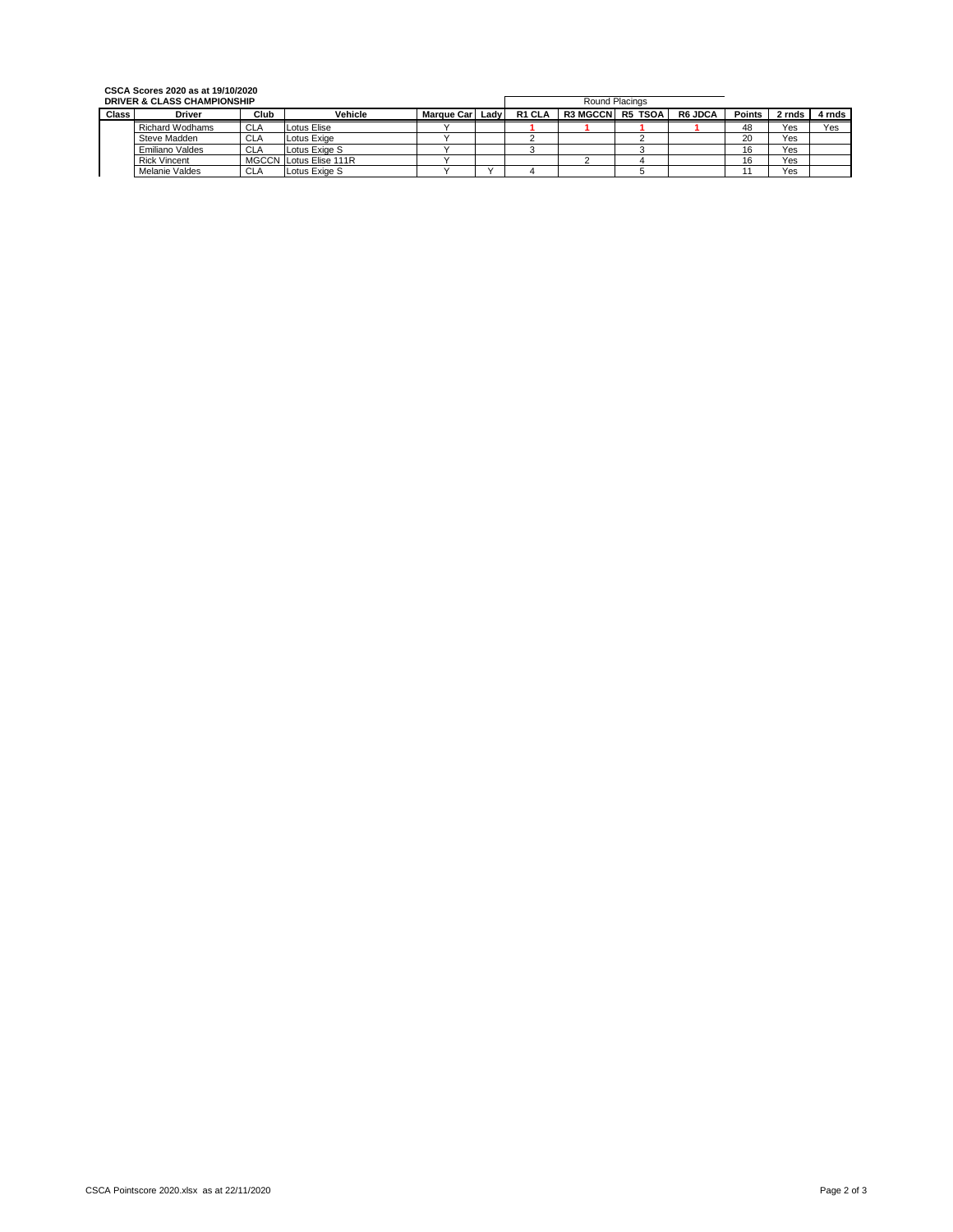## **CSCA Scores 2020 as at 19/10/2020**

| <b>DRIVER &amp; CLASS CHAMPIONSHIP</b> |                        |            |                        |                    | Round Placings |        |                 |         |                |               |        |        |
|----------------------------------------|------------------------|------------|------------------------|--------------------|----------------|--------|-----------------|---------|----------------|---------------|--------|--------|
| <b>Class</b>                           | <b>Driver</b>          | Club       | Vehicle                | <b>Marque Carl</b> | Ladv           | R1 CLA | <b>R3 MGCCN</b> | R5 TSOA | <b>R6 JDCA</b> | <b>Points</b> | 2 rnds | 4 rnds |
|                                        | <b>Richard Wodhams</b> | <b>CLA</b> | Lotus Elise            |                    |                |        |                 |         |                | 48            | Yes    | Yes    |
|                                        | Steve Madden           | <b>CLA</b> | Lotus Exige            |                    |                |        |                 |         |                | 20            | Yes    |        |
|                                        | Emiliano Valdes        | <b>CLA</b> | Lotus Exige S          |                    |                |        |                 |         |                | 16            | Yes    |        |
|                                        | <b>Rick Vincent</b>    |            | MGCCN Lotus Elise 111R |                    |                |        |                 |         |                | 16            | Yes    |        |
|                                        | Melanie Valdes         | <b>CLA</b> | Lotus Exige S          |                    |                |        |                 |         |                |               | Yes    |        |